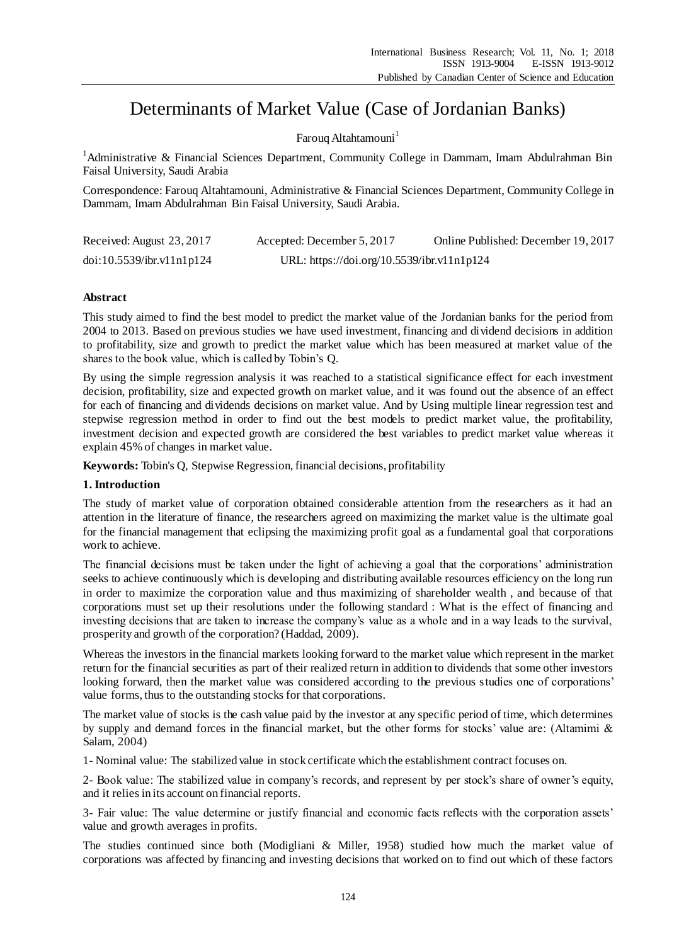# Determinants of Market Value (Case of Jordanian Banks)

## Faroug Altahtamouni<sup>1</sup>

<sup>1</sup>Administrative & Financial Sciences Department, Community College in Dammam, Imam Abdulrahman Bin Faisal University, Saudi Arabia

Correspondence: Farouq Altahtamouni, Administrative & Financial Sciences Department, Community College in Dammam, Imam Abdulrahman Bin Faisal University, Saudi Arabia.

| Received: August 23, 2017 | Accepted: December 5, 2017                 | Online Published: December 19, 2017 |
|---------------------------|--------------------------------------------|-------------------------------------|
| doi:10.5539/ibr.v11nlp124 | URL: https://doi.org/10.5539/ibr.v11n1p124 |                                     |

## **Abstract**

This study aimed to find the best model to predict the market value of the Jordanian banks for the period from 2004 to 2013. Based on previous studies we have used investment, financing and dividend decisions in addition to profitability, size and growth to predict the market value which has been measured at market value of the shares to the book value, which is called by Tobin's Q.

By using the simple regression analysis it was reached to a statistical significance effect for each investment decision, profitability, size and expected growth on market value, and it was found out the absence of an effect for each of financing and dividends decisions on market value. And by Using multiple linear regression test and stepwise regression method in order to find out the best models to predict market value, the profitability, investment decision and expected growth are considered the best variables to predict market value whereas it explain 45% of changes in market value.

**Keywords:** Tobin's Q, Stepwise Regression, financial decisions, profitability

# **1. Introduction**

The study of market value of corporation obtained considerable attention from the researchers as it had an attention in the literature of finance, the researchers agreed on maximizing the market value is the ultimate goal for the financial management that eclipsing the maximizing profit goal as a fundamental goal that corporations work to achieve.

The financial decisions must be taken under the light of achieving a goal that the corporations' administration seeks to achieve continuously which is developing and distributing available resources efficiency on the long run in order to maximize the corporation value and thus maximizing of shareholder wealth , and because of that corporations must set up their resolutions under the following standard : What is the effect of financing and investing decisions that are taken to increase the company's value as a whole and in a way leads to the survival, prosperity and growth of the corporation? (Haddad, 2009).

Whereas the investors in the financial markets looking forward to the market value which represent in the market return for the financial securities as part of their realized return in addition to dividends that some other investors looking forward, then the market value was considered according to the previous studies one of corporations' value forms, thus to the outstanding stocks for that corporations.

The market value of stocks is the cash value paid by the investor at any specific period of time, which determines by supply and demand forces in the financial market, but the other forms for stocks' value are: (Altamimi & Salam, 2004)

1- Nominal value: The stabilized value in stock certificate which the establishment contract focuses on.

2- Book value: The stabilized value in company's records, and represent by per stock's share of owner's equity, and it relies in its account on financial reports.

3- Fair value: The value determine or justify financial and economic facts reflects with the corporation assets' value and growth averages in profits.

The studies continued since both (Modigliani & Miller, 1958) studied how much the market value of corporations was affected by financing and investing decisions that worked on to find out which of these factors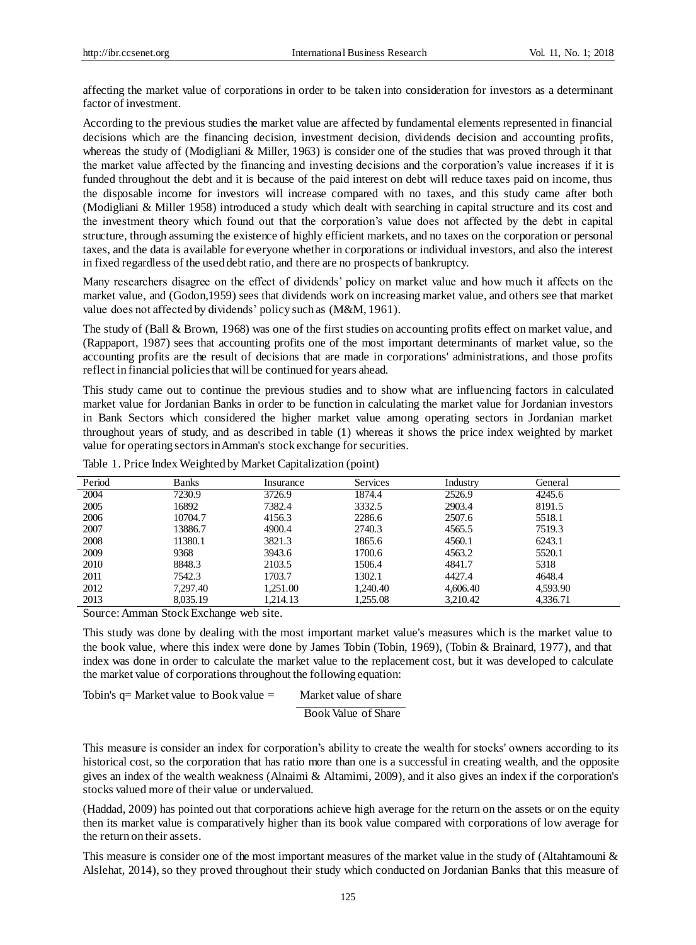affecting the market value of corporations in order to be taken into consideration for investors as a determinant factor of investment.

According to the previous studies the market value are affected by fundamental elements represented in financial decisions which are the financing decision, investment decision, dividends decision and accounting profits, whereas the study of (Modigliani & Miller, 1963) is consider one of the studies that was proved through it that the market value affected by the financing and investing decisions and the corporation's value increases if it is funded throughout the debt and it is because of the paid interest on debt will reduce taxes paid on income, thus the disposable income for investors will increase compared with no taxes, and this study came after both (Modigliani & Miller 1958) introduced a study which dealt with searching in capital structure and its cost and the investment theory which found out that the corporation's value does not affected by the debt in capital structure, through assuming the existence of highly efficient markets, and no taxes on the corporation or personal taxes, and the data is available for everyone whether in corporations or individual investors, and also the interest in fixed regardless of the used debt ratio, and there are no prospects of bankruptcy.

Many researchers disagree on the effect of dividends' policy on market value and how much it affects on the market value, and (Godon,1959) sees that dividends work on increasing market value, and others see that market value does not affected by dividends' policy such as (M&M, 1961).

The study of (Ball & Brown, 1968) was one of the first studies on accounting profits effect on market value, and (Rappaport, 1987) sees that accounting profits one of the most important determinants of market value, so the accounting profits are the result of decisions that are made in corporations' administrations, and those profits reflect in financial policies that will be continued for years ahead.

This study came out to continue the previous studies and to show what are influencing factors in calculated market value for Jordanian Banks in order to be function in calculating the market value for Jordanian investors in Bank Sectors which considered the higher market value among operating sectors in Jordanian market throughout years of study, and as described in table (1) whereas it shows the price index weighted by market value for operating sectors in Amman's stock exchange for securities.

| Period | <b>Banks</b> | Insurance | <b>Services</b> | Industry | General  |  |
|--------|--------------|-----------|-----------------|----------|----------|--|
| 2004   | 7230.9       | 3726.9    | 1874.4          | 2526.9   | 4245.6   |  |
| 2005   | 16892        | 7382.4    | 3332.5          | 2903.4   | 8191.5   |  |
| 2006   | 10704.7      | 4156.3    | 2286.6          | 2507.6   | 5518.1   |  |
| 2007   | 13886.7      | 4900.4    | 2740.3          | 4565.5   | 7519.3   |  |
| 2008   | 11380.1      | 3821.3    | 1865.6          | 4560.1   | 6243.1   |  |
| 2009   | 9368         | 3943.6    | 1700.6          | 4563.2   | 5520.1   |  |
| 2010   | 8848.3       | 2103.5    | 1506.4          | 4841.7   | 5318     |  |
| 2011   | 7542.3       | 1703.7    | 1302.1          | 4427.4   | 4648.4   |  |
| 2012   | 7.297.40     | 1.251.00  | 1.240.40        | 4,606.40 | 4.593.90 |  |
| 2013   | 8.035.19     | 1.214.13  | 1,255.08        | 3,210.42 | 4,336.71 |  |
|        |              |           |                 |          |          |  |

Table 1. Price Index Weighted by Market Capitalization (point)

Source: Amman Stock Exchange web site.

This study was done by dealing with the most important market value's measures which is the market value to the book value, where this index were done by James Tobin (Tobin, 1969), (Tobin & Brainard, 1977), and that index was done in order to calculate the market value to the replacement cost, but it was developed to calculate the market value of corporations throughout the following equation:

```
Tobin's q= Market value to Book value = Market value of share
                                Book Value of Share
```
This measure is consider an index for corporation's ability to create the wealth for stocks' owners according to its historical cost, so the corporation that has ratio more than one is a successful in creating wealth, and the opposite gives an index of the wealth weakness (Alnaimi & Altamimi, 2009), and it also gives an index if the corporation's stocks valued more of their value or undervalued.

(Haddad, 2009) has pointed out that corporations achieve high average for the return on the assets or on the equity then its market value is comparatively higher than its book value compared with corporations of low average for the return on their assets.

This measure is consider one of the most important measures of the market value in the study of (Altahtamouni & Alslehat, 2014), so they proved throughout their study which conducted on Jordanian Banks that this measure of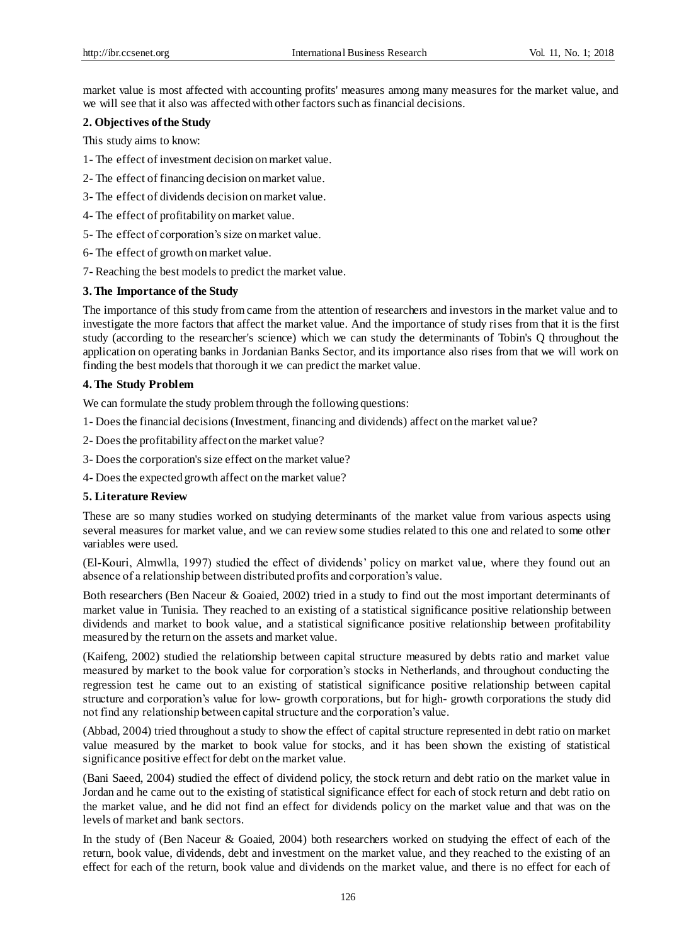market value is most affected with accounting profits' measures among many measures for the market value, and we will see that it also was affected with other factors such as financial decisions.

## **2. Objectives of the Study**

This study aims to know:

- 1- The effect of investment decision on market value.
- 2- The effect of financing decision on market value.
- 3- The effect of dividends decision on market value.
- 4- The effect of profitability on market value.
- 5- The effect of corporation's size on market value.
- 6- The effect of growth on market value.
- 7- Reaching the best models to predict the market value.

## **3. The Importance of the Study**

The importance of this study from came from the attention of researchers and investors in the market value and to investigate the more factors that affect the market value. And the importance of study rises from that it is the first study (according to the researcher's science) which we can study the determinants of Tobin's Q throughout the application on operating banks in Jordanian Banks Sector, and its importance also rises from that we will work on finding the best models that thorough it we can predict the market value.

## **4. The Study Problem**

We can formulate the study problem through the following questions:

- 1- Does the financial decisions (Investment, financing and dividends) affect on the market value?
- 2- Does the profitability affect on the market value?
- 3- Does the corporation's size effect on the market value?
- 4- Does the expected growth affect on the market value?

# **5. Literature Review**

These are so many studies worked on studying determinants of the market value from various aspects using several measures for market value, and we can review some studies related to this one and related to some other variables were used.

(El-Kouri, Almwlla, 1997) studied the effect of dividends' policy on market value, where they found out an absence of a relationship between distributed profits and corporation's value.

Both researchers (Ben Naceur & Goaied, 2002) tried in a study to find out the most important determinants of market value in Tunisia. They reached to an existing of a statistical significance positive relationship between dividends and market to book value, and a statistical significance positive relationship between profitability measured by the return on the assets and market value.

(Kaifeng, 2002) studied the relationship between capital structure measured by debts ratio and market value measured by market to the book value for corporation's stocks in Netherlands, and throughout conducting the regression test he came out to an existing of statistical significance positive relationship between capital structure and corporation's value for low- growth corporations, but for high- growth corporations the study did not find any relationship between capital structure and the corporation's value.

(Abbad, 2004) tried throughout a study to show the effect of capital structure represented in debt ratio on market value measured by the market to book value for stocks, and it has been shown the existing of statistical significance positive effect for debt on the market value.

(Bani Saeed, 2004) studied the effect of dividend policy, the stock return and debt ratio on the market value in Jordan and he came out to the existing of statistical significance effect for each of stock return and debt ratio on the market value, and he did not find an effect for dividends policy on the market value and that was on the levels of market and bank sectors.

In the study of (Ben Naceur & Goaied, 2004) both researchers worked on studying the effect of each of the return, book value, dividends, debt and investment on the market value, and they reached to the existing of an effect for each of the return, book value and dividends on the market value, and there is no effect for each of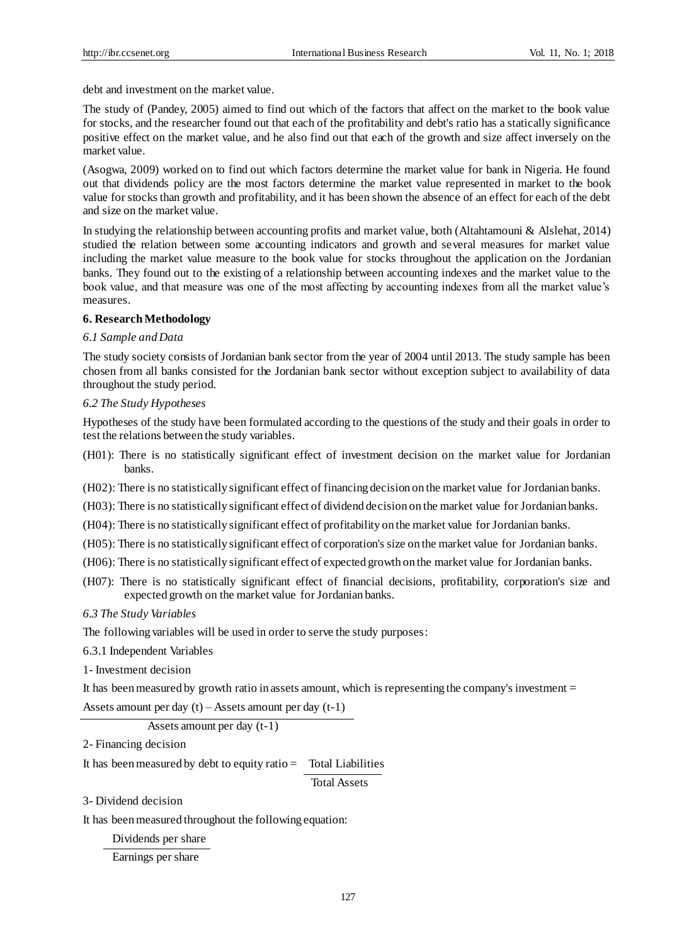debt and investment on the market value.

The study of (Pandey, 2005) aimed to find out which of the factors that affect on the market to the book value for stocks, and the researcher found out that each of the profitability and debt's ratio has a statically significance positive effect on the market value, and he also find out that each of the growth and size affect inversely on the market value.

(Asogwa, 2009) worked on to find out which factors determine the market value for bank in Nigeria. He found out that dividends policy are the most factors determine the market value represented in market to the book value for stocks than growth and profitability, and it has been shown the absence of an effect for each of the debt and size on the market value.

In studying the relationship between accounting profits and market value, both (Altahtamouni & Alslehat, 2014) studied the relation between some accounting indicators and growth and several measures for market value including the market value measure to the book value for stocks throughout the application on the Jordanian banks. They found out to the existing of a relationship between accounting indexes and the market value to the book value, and that measure was one of the most affecting by accounting indexes from all the market value's measures.

## **6. Research Methodology**

#### *6.1 Sample and Data*

The study society consists of Jordanian bank sector from the year of 2004 until 2013. The study sample has been chosen from all banks consisted for the Jordanian bank sector without exception subject to availability of data throughout the study period.

#### *6.2 The Study Hypotheses*

Hypotheses of the study have been formulated according to the questions of the study and their goals in order to test the relations between the study variables.

(H01): There is no statistically significant effect of investment decision on the market value for Jordanian banks.

(H02): There is no statistically significant effect of financing decision on the market value for Jordanian banks.

(H03): There is no statistically significant effect of dividend decision on the market value for Jordanian banks.

(H04): There is no statistically significant effect of profitability on the market value for Jordanian banks.

(H05): There is no statistically significant effect of corporation's size on the market value for Jordanian banks.

- (H06): There is no statistically significant effect of expected growth on the market value for Jordanian banks.
- (H07): There is no statistically significant effect of financial decisions, profitability, corporation's size and expected growth on the market value for Jordanian banks.

*6.3 The Study Variables*

The following variables will be used in order to serve the study purposes:

6.3.1 Independent Variables

1- Investment decision

It has been measured by growth ratio in assets amount, which is representing the company's investment =

Assets amount per day  $(t)$  – Assets amount per day  $(t-1)$ 

Assets amount per day (t-1)

2- Financing decision

It has been measured by debt to equity ratio  $=$  Total Liabilities

Total Assets

3- Dividend decision

It has been measured throughout the following equation:

Dividends per share

Earnings per share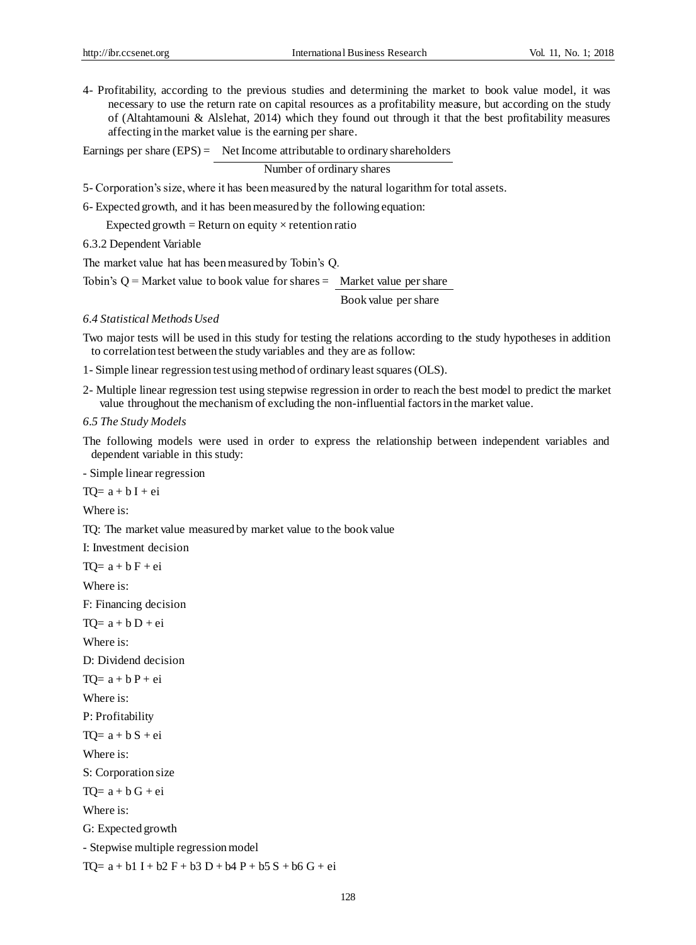4- Profitability, according to the previous studies and determining the market to book value model, it was necessary to use the return rate on capital resources as a profitability measure, but according on the study of (Altahtamouni & Alslehat, 2014) which they found out through it that the best profitability measures affecting in the market value is the earning per share.

Earnings per share (EPS) = Net Income attributable to ordinary shareholders

Number of ordinary shares

5- Corporation's size, where it has been measured by the natural logarithm for total assets.

6- Expected growth, and it has been measured by the following equation:

Expected growth = Return on equity  $\times$  retention ratio

6.3.2 Dependent Variable

The market value hat has been measured by Tobin's Q.

Tobin's  $Q =$  Market value to book value for shares  $=$  Market value per share

Book value per share

#### *6.4 Statistical Methods Used*

Two major tests will be used in this study for testing the relations according to the study hypotheses in addition to correlation test between the study variables and they are as follow:

1- Simple linear regression test using method of ordinary least squares (OLS).

2- Multiple linear regression test using stepwise regression in order to reach the best model to predict the market value throughout the mechanism of excluding the non-influential factors in the market value.

*6.5 The Study Models*

The following models were used in order to express the relationship between independent variables and dependent variable in this study:

- Simple linear regression

 $TO= a + b I + ei$ 

Where is:

TQ: The market value measured by market value to the book value

I: Investment decision

 $TO= a + b F + ei$ 

Where is:

F: Financing decision

 $TO= a + b D + ei$ 

Where is:

D: Dividend decision

 $TO= a + b P + ei$ 

Where is:

P: Profitability

 $TO= a + b S + ei$ 

Where is:

S: Corporation size

 $TO= a + b G + ei$ 

Where is:

G: Expected growth

- Stepwise multiple regression model

 $TO= a + b1 I + b2 F + b3 D + b4 P + b5 S + b6 G + ei$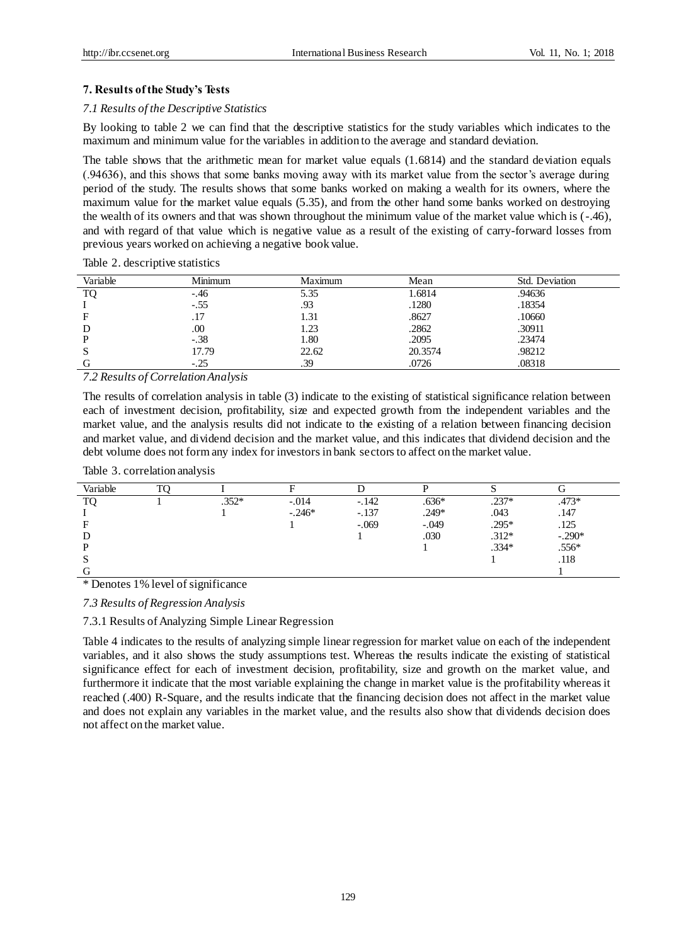## **7. Results of the Study's Tests**

#### *7.1 Results of the Descriptive Statistics*

By looking to table 2 we can find that the descriptive statistics for the study variables which indicates to the maximum and minimum value for the variables in addition to the average and standard deviation.

The table shows that the arithmetic mean for market value equals (1.6814) and the standard deviation equals (.94636), and this shows that some banks moving away with its market value from the sector's average during period of the study. The results shows that some banks worked on making a wealth for its owners, where the maximum value for the market value equals (5.35), and from the other hand some banks worked on destroying the wealth of its owners and that was shown throughout the minimum value of the market value which is (-.46), and with regard of that value which is negative value as a result of the existing of carry-forward losses from previous years worked on achieving a negative book value.

Table 2. descriptive statistics

| Variable | Minimum | Maximum | Mean    | Std. Deviation |
|----------|---------|---------|---------|----------------|
| TO       | $-.46$  | 5.35    | 1.6814  | .94636         |
|          | $-.55$  | .93     | .1280   | .18354         |
|          | .17     | 1.31    | .8627   | .10660         |
| D        | .00     | 1.23    | .2862   | .30911         |
| D        | $-.38$  | 1.80    | .2095   | .23474         |
| S        | 17.79   | 22.62   | 20.3574 | .98212         |
|          | $-.25$  | .39     | .0726   | .08318         |

*7.2 Results of Correlation Analysis*

The results of correlation analysis in table (3) indicate to the existing of statistical significance relation between each of investment decision, profitability, size and expected growth from the independent variables and the market value, and the analysis results did not indicate to the existing of a relation between financing decision and market value, and dividend decision and the market value, and this indicates that dividend decision and the debt volume does not form any index for investors in bank sectors to affect on the market value.

Table 3. correlation analysis

| Variable |         |          |         |         |         |           |
|----------|---------|----------|---------|---------|---------|-----------|
| TΩ       | $.352*$ | $-.014$  | $-.142$ | $.636*$ | $.237*$ | $.473*$   |
|          |         | $-.246*$ | $-.137$ | $.249*$ | .043    | .147      |
|          |         |          | $-.069$ | $-.049$ | .295*   | .125      |
|          |         |          |         | .030    | $.312*$ | $-0.290*$ |
|          |         |          |         |         | $.334*$ |           |
|          |         |          |         |         |         | .118      |
|          |         |          |         |         |         |           |

\* Denotes 1% level of significance

*7.3 Results of Regression Analysis*

7.3.1 Results of Analyzing Simple Linear Regression

Table 4 indicates to the results of analyzing simple linear regression for market value on each of the independent variables, and it also shows the study assumptions test. Whereas the results indicate the existing of statistical significance effect for each of investment decision, profitability, size and growth on the market value, and furthermore it indicate that the most variable explaining the change in market value is the profitability whereas it reached (.400) R-Square, and the results indicate that the financing decision does not affect in the market value and does not explain any variables in the market value, and the results also show that dividends decision does not affect on the market value.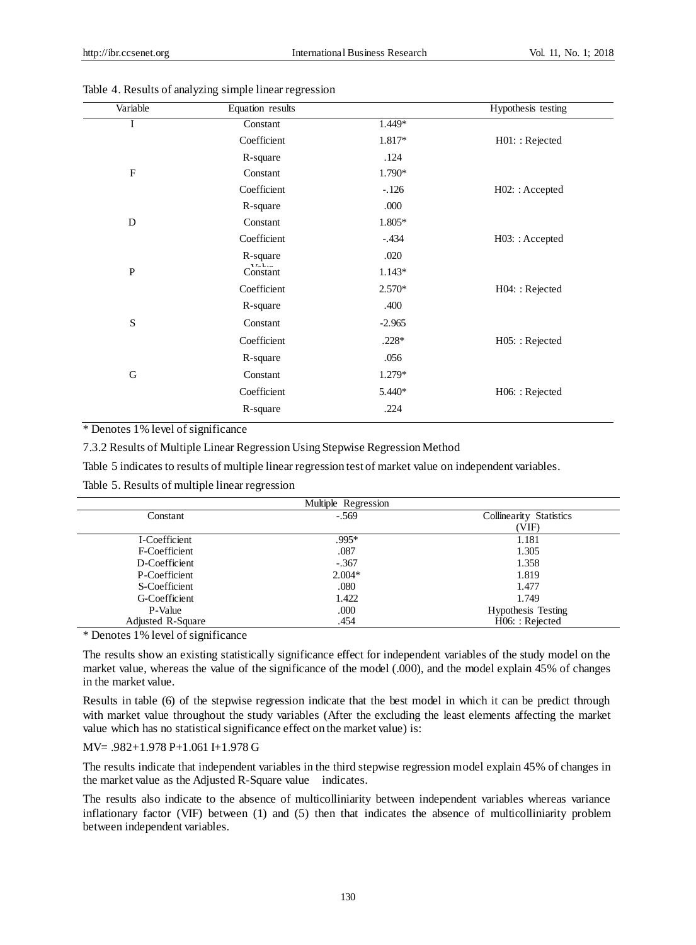| Variable                  | Equation results                                        |          | Hypothesis testing |
|---------------------------|---------------------------------------------------------|----------|--------------------|
| I                         | Constant                                                | 1.449*   |                    |
|                           | Coefficient                                             | 1.817*   | H01: : Rejected    |
|                           | R-square                                                | .124     |                    |
| $\boldsymbol{\mathrm{F}}$ | Constant                                                | 1.790*   |                    |
|                           | Coefficient                                             | $-.126$  | $H02:$ : Accepted  |
|                           | R-square                                                | .000     |                    |
| D                         | Constant                                                | 1.805*   |                    |
|                           | Coefficient                                             | $-.434$  | H03: : Accepted    |
|                           | R-square                                                | .020     |                    |
| $\mathbf{P}$              | $\mathbf{V}L$ , $\mathbf{L}$ , $\mathbf{L}$<br>Constant | $1.143*$ |                    |
|                           | Coefficient                                             | 2.570*   | H04: : Rejected    |
|                           | R-square                                                | .400     |                    |
| ${\bf S}$                 | Constant                                                | $-2.965$ |                    |
|                           | Coefficient                                             | $.228*$  | H05:: Rejected     |
|                           | R-square                                                | .056     |                    |
| ${\bf G}$                 | Constant                                                | $1.279*$ |                    |
|                           | Coefficient                                             | 5.440*   | H06:: Rejected     |
|                           | R-square                                                | .224     |                    |
|                           |                                                         |          |                    |

Table 4. Results of analyzing simple linear regression

\* Denotes 1% level of significance

7.3.2 Results of Multiple Linear Regression Using Stepwise Regression Method

Table 5 indicates to results of multiple linear regression test of market value on independent variables.

Table 5. Results of multiple linear regression

|                   | Multiple Regression |                           |
|-------------------|---------------------|---------------------------|
| Constant          | $-.569$             | Collinearity Statistics   |
|                   |                     | (VIF)                     |
| I-Coefficient     | .995*               | 1.181                     |
| F-Coefficient     | .087                | 1.305                     |
| D-Coefficient     | $-.367$             | 1.358                     |
| P-Coefficient     | $2.004*$            | 1.819                     |
| S-Coefficient     | .080                | 1.477                     |
| G-Coefficient     | 1.422               | 1.749                     |
| P-Value           | .000                | <b>Hypothesis Testing</b> |
| Adjusted R-Square | .454                | H06:: Rejected            |

\* Denotes 1% level of significance

The results show an existing statistically significance effect for independent variables of the study model on the market value, whereas the value of the significance of the model (.000), and the model explain 45% of changes in the market value.

Results in table (6) of the stepwise regression indicate that the best model in which it can be predict through with market value throughout the study variables (After the excluding the least elements affecting the market value which has no statistical significance effect on the market value) is:

## MV= .982+1.978 P+1.061 I+1.978 G

The results indicate that independent variables in the third stepwise regression model explain 45% of changes in the market value as the Adjusted R-Square value indicates.

The results also indicate to the absence of multicolliniarity between independent variables whereas variance inflationary factor (VIF) between (1) and (5) then that indicates the absence of multicolliniarity problem between independent variables.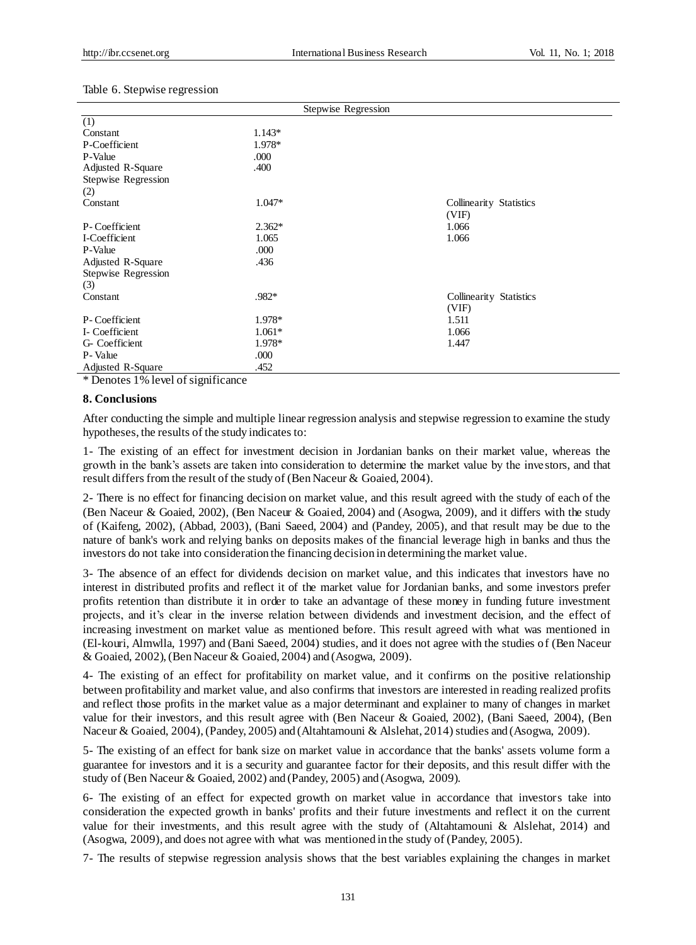#### Table 6. Stepwise regression

| Stepwise Regression |          |                                  |  |  |
|---------------------|----------|----------------------------------|--|--|
| (1)                 |          |                                  |  |  |
| Constant            | $1.143*$ |                                  |  |  |
| P-Coefficient       | 1.978*   |                                  |  |  |
| P-Value             | .000     |                                  |  |  |
| Adjusted R-Square   | .400     |                                  |  |  |
| Stepwise Regression |          |                                  |  |  |
| (2)                 |          |                                  |  |  |
| Constant            | $1.047*$ | Collinearity Statistics<br>(VIF) |  |  |
| P-Coefficient       | $2.362*$ | 1.066                            |  |  |
| I-Coefficient       | 1.065    | 1.066                            |  |  |
| P-Value             | .000     |                                  |  |  |
| Adjusted R-Square   | .436     |                                  |  |  |
| Stepwise Regression |          |                                  |  |  |
| (3)                 |          |                                  |  |  |
| Constant            | .982*    | Collinearity Statistics          |  |  |
|                     |          | (VIF)                            |  |  |
| P-Coefficient       | 1.978*   | 1.511                            |  |  |
| I- Coefficient      | $1.061*$ | 1.066                            |  |  |
| G- Coefficient      | 1.978*   | 1.447                            |  |  |
| P-Value             | .000     |                                  |  |  |
| Adjusted R-Square   | .452     |                                  |  |  |

\* Denotes 1% level of significance

#### **8. Conclusions**

After conducting the simple and multiple linear regression analysis and stepwise regression to examine the study hypotheses, the results of the study indicates to:

1- The existing of an effect for investment decision in Jordanian banks on their market value, whereas the growth in the bank's assets are taken into consideration to determine the market value by the investors, and that result differs from the result of the study of (Ben Naceur & Goaied, 2004).

2- There is no effect for financing decision on market value, and this result agreed with the study of each of the (Ben Naceur & Goaied, 2002), (Ben Naceur & Goaied, 2004) and (Asogwa, 2009), and it differs with the study of (Kaifeng, 2002), (Abbad, 2003), (Bani Saeed, 2004) and (Pandey, 2005), and that result may be due to the nature of bank's work and relying banks on deposits makes of the financial leverage high in banks and thus the investors do not take into consideration the financing decision in determining the market value.

3- The absence of an effect for dividends decision on market value, and this indicates that investors have no interest in distributed profits and reflect it of the market value for Jordanian banks, and some investors prefer profits retention than distribute it in order to take an advantage of these money in funding future investment projects, and it's clear in the inverse relation between dividends and investment decision, and the effect of increasing investment on market value as mentioned before. This result agreed with what was mentioned in (El-kouri, Almwlla, 1997) and (Bani Saeed, 2004) studies, and it does not agree with the studies of (Ben Naceur & Goaied, 2002), (Ben Naceur & Goaied, 2004) and (Asogwa, 2009).

4- The existing of an effect for profitability on market value, and it confirms on the positive relationship between profitability and market value, and also confirms that investors are interested in reading realized profits and reflect those profits in the market value as a major determinant and explainer to many of changes in market value for their investors, and this result agree with (Ben Naceur & Goaied, 2002), (Bani Saeed, 2004), (Ben Naceur & Goaied, 2004), (Pandey, 2005) and (Altahtamouni & Alslehat, 2014) studies and (Asogwa, 2009).

5- The existing of an effect for bank size on market value in accordance that the banks' assets volume form a guarantee for investors and it is a security and guarantee factor for their deposits, and this result differ with the study of (Ben Naceur & Goaied, 2002) and (Pandey, 2005) and (Asogwa, 2009).

6- The existing of an effect for expected growth on market value in accordance that investors take into consideration the expected growth in banks' profits and their future investments and reflect it on the current value for their investments, and this result agree with the study of (Altahtamouni & Alslehat, 2014) and (Asogwa, 2009), and does not agree with what was mentioned in the study of (Pandey, 2005).

7- The results of stepwise regression analysis shows that the best variables explaining the changes in market